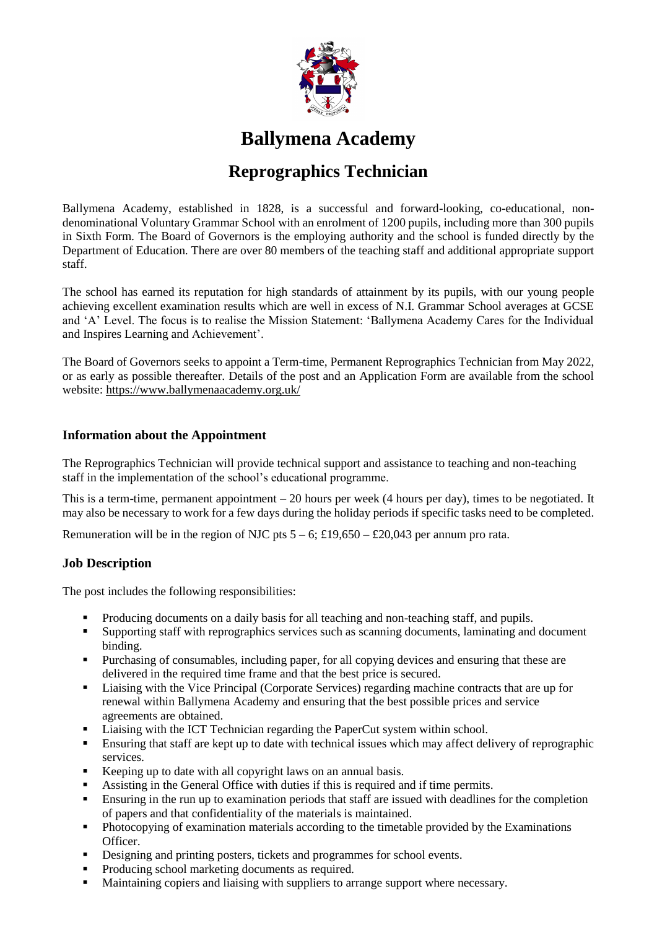

# **Ballymena Academy**

# **Reprographics Technician**

Ballymena Academy, established in 1828, is a successful and forward-looking, co-educational, nondenominational Voluntary Grammar School with an enrolment of 1200 pupils, including more than 300 pupils in Sixth Form. The Board of Governors is the employing authority and the school is funded directly by the Department of Education. There are over 80 members of the teaching staff and additional appropriate support staff.

The school has earned its reputation for high standards of attainment by its pupils, with our young people achieving excellent examination results which are well in excess of N.I. Grammar School averages at GCSE and 'A' Level. The focus is to realise the Mission Statement: 'Ballymena Academy Cares for the Individual and Inspires Learning and Achievement'.

The Board of Governors seeks to appoint a Term-time, Permanent Reprographics Technician from May 2022, or as early as possible thereafter. Details of the post and an Application Form are available from the school website:<https://www.ballymenaacademy.org.uk/>

### **Information about the Appointment**

The Reprographics Technician will provide technical support and assistance to teaching and non-teaching staff in the implementation of the school's educational programme.

This is a term-time, permanent appointment – 20 hours per week (4 hours per day), times to be negotiated. It may also be necessary to work for a few days during the holiday periods if specific tasks need to be completed.

Remuneration will be in the region of NJC pts  $5 - 6$ ; £19,650 – £20,043 per annum pro rata.

## **Job Description**

The post includes the following responsibilities:

- Producing documents on a daily basis for all teaching and non-teaching staff, and pupils.
- Supporting staff with reprographics services such as scanning documents, laminating and document binding.
- **Purchasing of consumables, including paper, for all copying devices and ensuring that these are** delivered in the required time frame and that the best price is secured.
- Liaising with the Vice Principal (Corporate Services) regarding machine contracts that are up for renewal within Ballymena Academy and ensuring that the best possible prices and service agreements are obtained.
- **Example 1** Liaising with the ICT Technician regarding the PaperCut system within school.
- Ensuring that staff are kept up to date with technical issues which may affect delivery of reprographic services.
- Keeping up to date with all copyright laws on an annual basis.
- Assisting in the General Office with duties if this is required and if time permits.
- Ensuring in the run up to examination periods that staff are issued with deadlines for the completion of papers and that confidentiality of the materials is maintained.
- Photocopying of examination materials according to the timetable provided by the Examinations Officer.
- Designing and printing posters, tickets and programmes for school events.
- Producing school marketing documents as required.
- **Maintaining copiers and liaising with suppliers to arrange support where necessary.**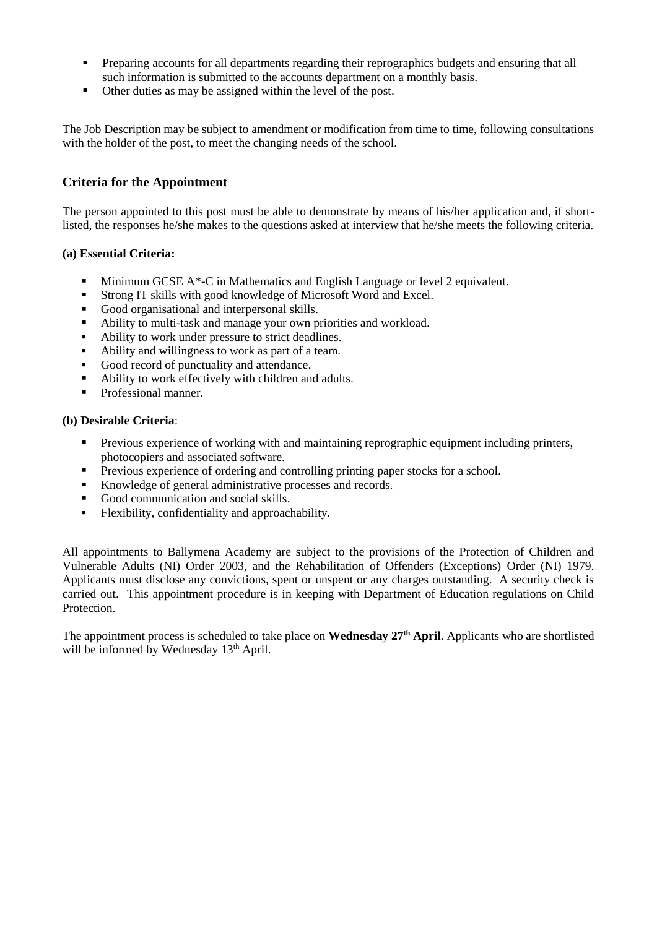- Preparing accounts for all departments regarding their reprographics budgets and ensuring that all such information is submitted to the accounts department on a monthly basis.
- Other duties as may be assigned within the level of the post.

The Job Description may be subject to amendment or modification from time to time, following consultations with the holder of the post, to meet the changing needs of the school.

### **Criteria for the Appointment**

The person appointed to this post must be able to demonstrate by means of his/her application and, if shortlisted, the responses he/she makes to the questions asked at interview that he/she meets the following criteria.

#### **(a) Essential Criteria:**

- Minimum GCSE A\*-C in Mathematics and English Language or level 2 equivalent.
- Strong IT skills with good knowledge of Microsoft Word and Excel.
- Good organisational and interpersonal skills.
- Ability to multi-task and manage your own priorities and workload.
- Ability to work under pressure to strict deadlines.
- Ability and willingness to work as part of a team.
- Good record of punctuality and attendance.
- Ability to work effectively with children and adults.
- Professional manner.

#### **(b) Desirable Criteria**:

- **Previous experience of working with and maintaining reprographic equipment including printers,** photocopiers and associated software.
- **Previous experience of ordering and controlling printing paper stocks for a school.**
- Knowledge of general administrative processes and records.
- Good communication and social skills.<br>• Flexibility confidentiality and approach
- Flexibility, confidentiality and approachability.

All appointments to Ballymena Academy are subject to the provisions of the Protection of Children and Vulnerable Adults (NI) Order 2003, and the Rehabilitation of Offenders (Exceptions) Order (NI) 1979. Applicants must disclose any convictions, spent or unspent or any charges outstanding. A security check is carried out. This appointment procedure is in keeping with Department of Education regulations on Child Protection.

The appointment process is scheduled to take place on **Wednesday 27th April**. Applicants who are shortlisted will be informed by Wednesday 13<sup>th</sup> April.